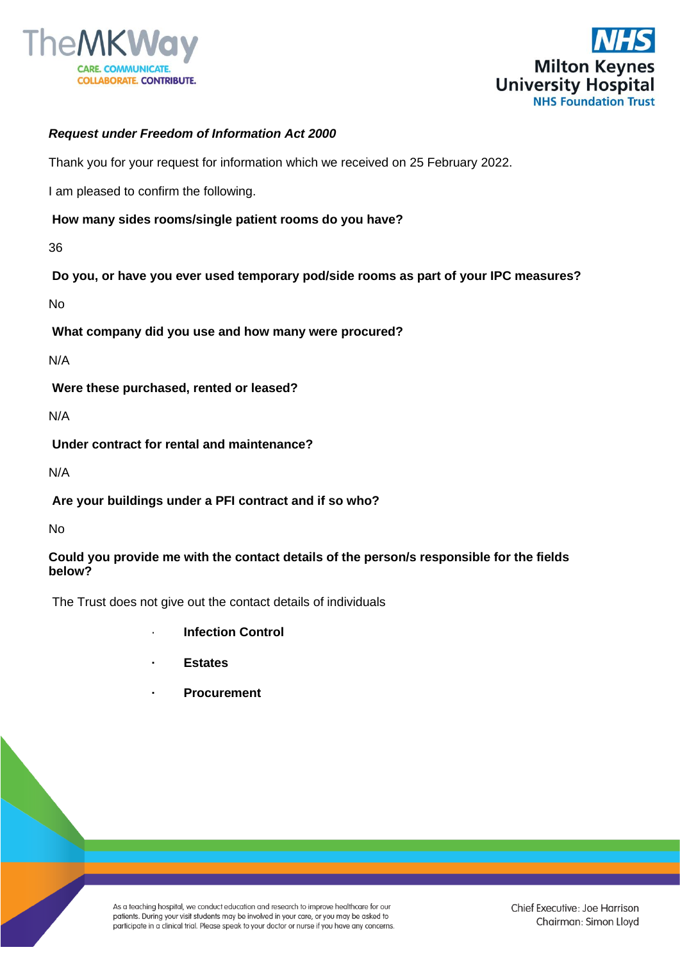



# *Request under Freedom of Information Act 2000*

Thank you for your request for information which we received on 25 February 2022.

I am pleased to confirm the following.

#### **How many sides rooms/single patient rooms do you have?**

36

**Do you, or have you ever used temporary pod/side rooms as part of your IPC measures?** 

No

**What company did you use and how many were procured?** 

N/A

**Were these purchased, rented or leased?**

N/A

**Under contract for rental and maintenance?**

N/A

**Are your buildings under a PFI contract and if so who?** 

No

### **Could you provide me with the contact details of the person/s responsible for the fields below?**

The Trust does not give out the contact details of individuals

- · **Infection Control**
- **· Estates**
- **· Procurement**

As a teaching hospital, we conduct education and research to improve healthcare for our patients. During your visit students may be involved in your care, or you may be asked to participate in a clinical trial. Please speak to your doctor or nurse if you have any concerns.